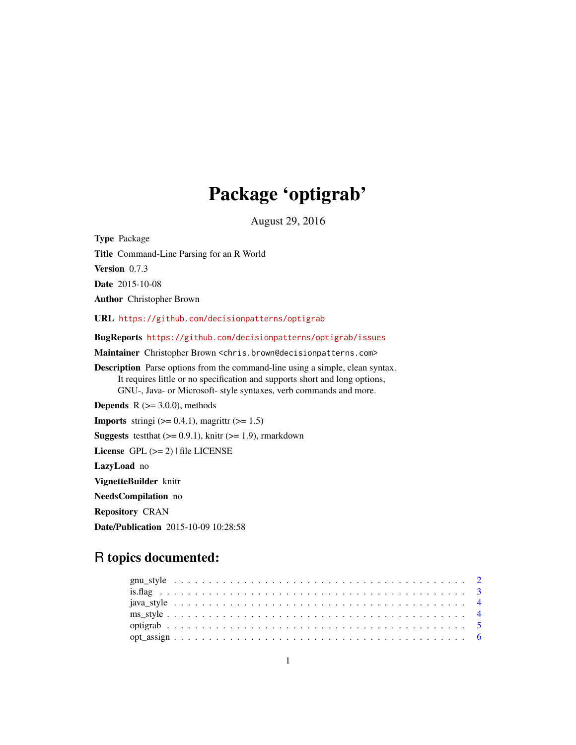# Package 'optigrab'

August 29, 2016

<span id="page-0-0"></span>Type Package Title Command-Line Parsing for an R World Version 0.7.3 Date 2015-10-08 Author Christopher Brown URL <https://github.com/decisionpatterns/optigrab> BugReports <https://github.com/decisionpatterns/optigrab/issues> Maintainer Christopher Brown <chris.brown@decisionpatterns.com> Description Parse options from the command-line using a simple, clean syntax. It requires little or no specification and supports short and long options, GNU-, Java- or Microsoft- style syntaxes, verb commands and more. **Depends**  $R$  ( $>= 3.0.0$ ), methods **Imports** stringi  $(>= 0.4.1)$ , magrittr  $(>= 1.5)$ **Suggests** test that  $(>= 0.9.1)$ , knitr  $(>= 1.9)$ , rmarkdown License GPL  $(>= 2)$  | file LICENSE LazyLoad no VignetteBuilder knitr NeedsCompilation no Repository CRAN Date/Publication 2015-10-09 10:28:58

# R topics documented:

| $opt\_assign \ldots \ldots \ldots \ldots \ldots \ldots \ldots \ldots \ldots \ldots \ldots \ldots \ldots$ |  |  |  |  |  |  |  |  |  |  |  |  |  |  |  |  |  |  |  |  |  |  |
|----------------------------------------------------------------------------------------------------------|--|--|--|--|--|--|--|--|--|--|--|--|--|--|--|--|--|--|--|--|--|--|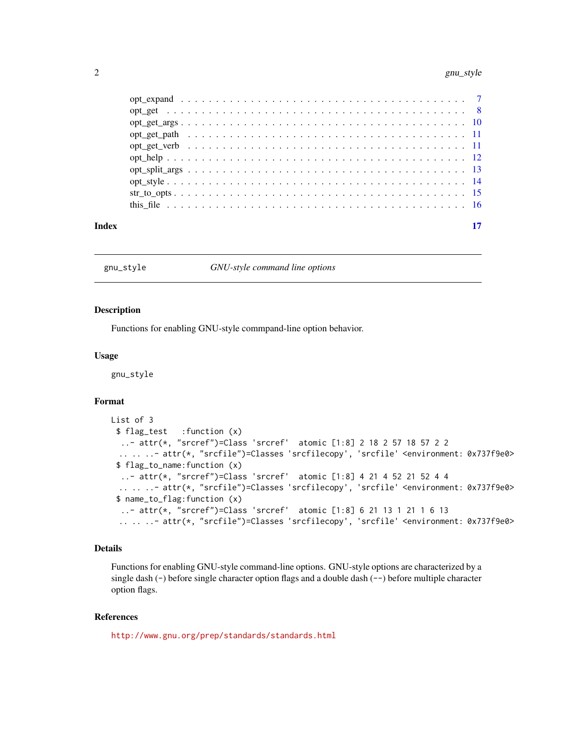<span id="page-1-0"></span>

| Index |  |  |  |  |  |  |  |  |  |  |  |  |  |  |  |  |  |  |
|-------|--|--|--|--|--|--|--|--|--|--|--|--|--|--|--|--|--|--|
|       |  |  |  |  |  |  |  |  |  |  |  |  |  |  |  |  |  |  |
|       |  |  |  |  |  |  |  |  |  |  |  |  |  |  |  |  |  |  |
|       |  |  |  |  |  |  |  |  |  |  |  |  |  |  |  |  |  |  |
|       |  |  |  |  |  |  |  |  |  |  |  |  |  |  |  |  |  |  |
|       |  |  |  |  |  |  |  |  |  |  |  |  |  |  |  |  |  |  |
|       |  |  |  |  |  |  |  |  |  |  |  |  |  |  |  |  |  |  |
|       |  |  |  |  |  |  |  |  |  |  |  |  |  |  |  |  |  |  |
|       |  |  |  |  |  |  |  |  |  |  |  |  |  |  |  |  |  |  |
|       |  |  |  |  |  |  |  |  |  |  |  |  |  |  |  |  |  |  |
|       |  |  |  |  |  |  |  |  |  |  |  |  |  |  |  |  |  |  |
|       |  |  |  |  |  |  |  |  |  |  |  |  |  |  |  |  |  |  |

<span id="page-1-1"></span>gnu\_style *GNU-style command line options*

#### Description

Functions for enabling GNU-style commpand-line option behavior.

# Usage

gnu\_style

#### Format

```
List of 3
 $ flag_test :function (x)
  ..- attr(*, "srcref")=Class 'srcref' atomic [1:8] 2 18 2 57 18 57 2 2
 .. .. ..- attr(*, "srcfile")=Classes 'srcfilecopy', 'srcfile' <environment: 0x737f9e0>
 $ flag_to_name:function (x)
  ..- attr(*, "srcref")=Class 'srcref' atomic [1:8] 4 21 4 52 21 52 4 4
 .. .. ..- attr(*, "srcfile")=Classes 'srcfilecopy', 'srcfile' <environment: 0x737f9e0>
 $ name_to_flag:function (x)
  ..- attr(*, "srcref")=Class 'srcref' atomic [1:8] 6 21 13 1 21 1 6 13
 .. .. ..- attr(*, "srcfile")=Classes 'srcfilecopy', 'srcfile' <environment: 0x737f9e0>
```
#### Details

Functions for enabling GNU-style command-line options. GNU-style options are characterized by a single dash  $(-)$  before single character option flags and a double dash  $(-)$  before multiple character option flags.

# References

<http://www.gnu.org/prep/standards/standards.html>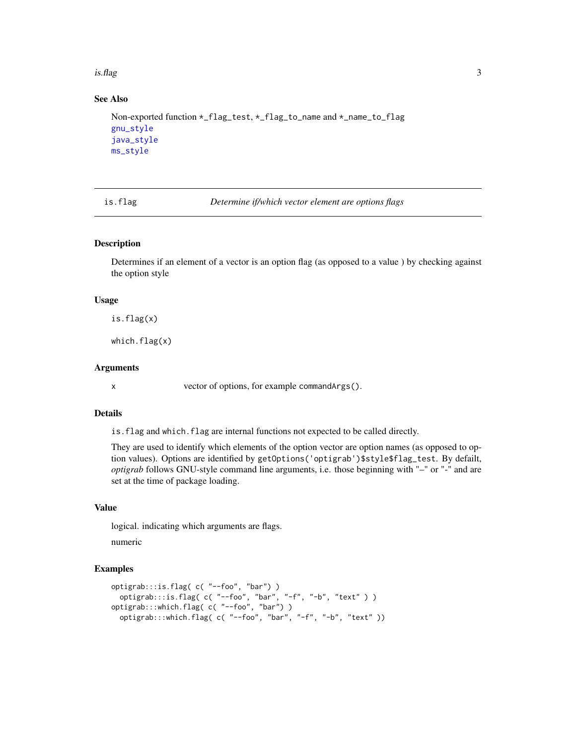<span id="page-2-0"></span>is.flag 3

# See Also

```
Non-exported function *_flag_test, *_flag_to_name and *_name_to_flag
gnu_style
java_style
ms_style
```
is.flag *Determine if/which vector element are options flags*

# Description

Determines if an element of a vector is an option flag (as opposed to a value ) by checking against the option style

#### Usage

is.flag(x)

which.flag(x)

# Arguments

x vector of options, for example commandArgs().

#### Details

is.flag and which.flag are internal functions not expected to be called directly.

They are used to identify which elements of the option vector are option names (as opposed to option values). Options are identified by getOptions('optigrab')\$style\$flag\_test. By defailt, *optigrab* follows GNU-style command line arguments, i.e. those beginning with "–" or "-" and are set at the time of package loading.

# Value

logical. indicating which arguments are flags.

numeric

```
optigrab:::is.flag( c( "--foo", "bar") )
  optigrab:::is.flag( c( "--foo", "bar", "-f", "-b", "text" ) )
optigrab:::which.flag( c( "--foo", "bar") )
  optigrab:::which.flag( c( "--foo", "bar", "-f", "-b", "text" ))
```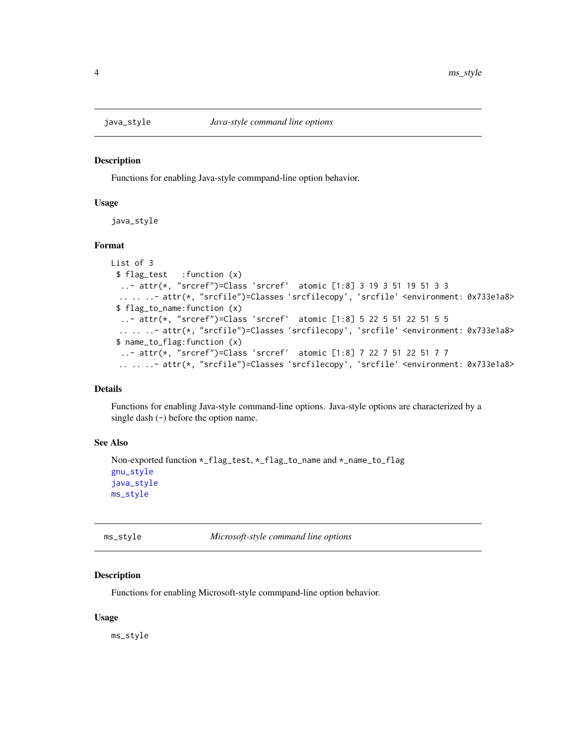<span id="page-3-1"></span><span id="page-3-0"></span>

#### Description

Functions for enabling Java-style commpand-line option behavior.

#### Usage

java\_style

# Format

```
List of 3
 $ flag_test :function (x)
  ..- attr(*, "srcref")=Class 'srcref' atomic [1:8] 3 19 3 51 19 51 3 3
  .. .. ..- attr(*, "srcfile")=Classes 'srcfilecopy', 'srcfile' <environment: 0x733e1a8>
 $ flag_to_name:function (x)
  ..- attr(*, "srcref")=Class 'srcref' atomic [1:8] 5 22 5 51 22 51 5 5
 .. .. ..- attr(*, "srcfile")=Classes 'srcfilecopy', 'srcfile' <environment: 0x733e1a8>
 $ name_to_flag:function (x)
  ..- attr(*, "srcref")=Class 'srcref' atomic [1:8] 7 22 7 51 22 51 7 7
 .. .. ..- attr(*, "srcfile")=Classes 'srcfilecopy', 'srcfile' <environment: 0x733e1a8>
```
#### Details

Functions for enabling Java-style command-line options. Java-style options are characterized by a single dash  $(-)$  before the option name.

# See Also

```
Non-exported function *_flag_test, *_flag_to_name and *_name_to_flag
gnu_style
java_style
ms_style
```
<span id="page-3-2"></span>ms\_style *Microsoft-style command line options*

#### **Description**

Functions for enabling Microsoft-style commpand-line option behavior.

#### Usage

ms\_style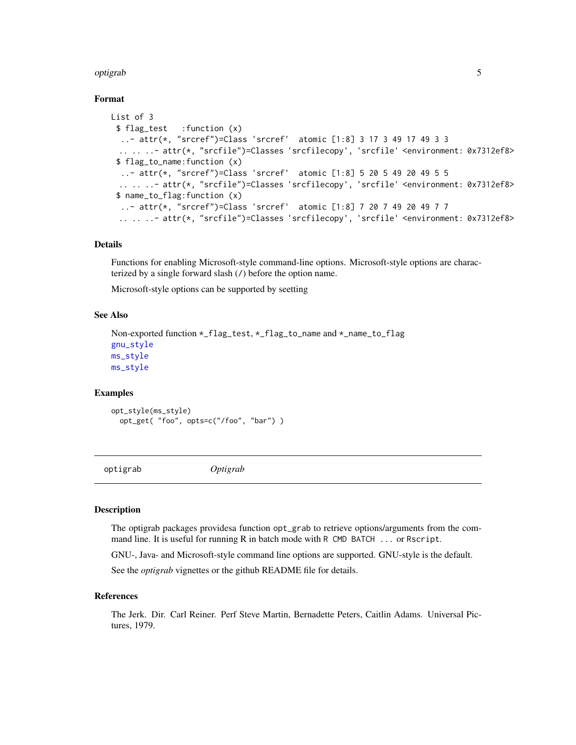#### <span id="page-4-0"></span>optigrab 5

# Format

```
List of 3
 $ flag_test :function (x)
  ..- attr(*, "srcref")=Class 'srcref' atomic [1:8] 3 17 3 49 17 49 3 3
 .. .. ..- attr(*, "srcfile")=Classes 'srcfilecopy', 'srcfile' <environment: 0x7312ef8>
 $ flag_to_name:function (x)
  ..- attr(*, "srcref")=Class 'srcref' atomic [1:8] 5 20 5 49 20 49 5 5
 .. .. ..- attr(*, "srcfile")=Classes 'srcfilecopy', 'srcfile' <environment: 0x7312ef8>
 $ name_to_flag:function (x)
  ..- attr(*, "srcref")=Class 'srcref' atomic [1:8] 7 20 7 49 20 49 7 7
 .. .. ..- attr(*, "srcfile")=Classes 'srcfilecopy', 'srcfile' <environment: 0x7312ef8>
```
# Details

Functions for enabling Microsoft-style command-line options. Microsoft-style options are characterized by a single forward slash (/) before the option name.

Microsoft-style options can be supported by seetting

#### See Also

```
Non-exported function *_flag_test, *_flag_to_name and *_name_to_flag
gnu_style
ms_style
ms_style
```
# Examples

```
opt_style(ms_style)
 opt_get( "foo", opts=c("/foo", "bar") )
```
optigrab *Optigrab*

#### Description

The optigrab packages providesa function opt\_grab to retrieve options/arguments from the command line. It is useful for running R in batch mode with R CMD BATCH ... or Rscript.

GNU-, Java- and Microsoft-style command line options are supported. GNU-style is the default.

See the *optigrab* vignettes or the github README file for details.

#### References

The Jerk. Dir. Carl Reiner. Perf Steve Martin, Bernadette Peters, Caitlin Adams. Universal Pictures, 1979.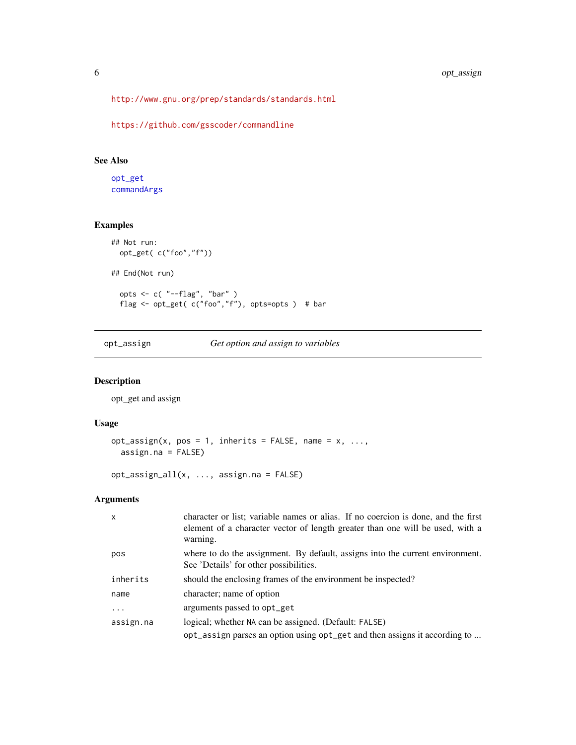<span id="page-5-0"></span><http://www.gnu.org/prep/standards/standards.html>

<https://github.com/gsscoder/commandline>

# See Also

[opt\\_get](#page-7-1) [commandArgs](#page-0-0)

# Examples

```
## Not run:
  opt_get( c("foo","f"))
## End(Not run)
  opts <- c( "--flag", "bar" )
  flag <- opt_get( c("foo","f"), opts=opts ) # bar
```
opt\_assign *Get option and assign to variables*

# Description

opt\_get and assign

#### Usage

```
opt_assign(x, pos = 1, inherits = FALSE, name = x, ...,assign.na = FALSE)
```

```
opt_assign_all(x, ..., assign.na = FALSE)
```
# Arguments

| $\mathsf{x}$ | character or list; variable names or alias. If no coercion is done, and the first<br>element of a character vector of length greater than one will be used, with a<br>warning. |
|--------------|--------------------------------------------------------------------------------------------------------------------------------------------------------------------------------|
| pos          | where to do the assignment. By default, assigns into the current environment.<br>See 'Details' for other possibilities.                                                        |
| inherits     | should the enclosing frames of the environment be inspected?                                                                                                                   |
| name         | character; name of option                                                                                                                                                      |
| .            | arguments passed to opt_get                                                                                                                                                    |
| assign.na    | logical; whether NA can be assigned. (Default: FALSE)                                                                                                                          |
|              | opt_assign parses an option using opt_get and then assigns it according to                                                                                                     |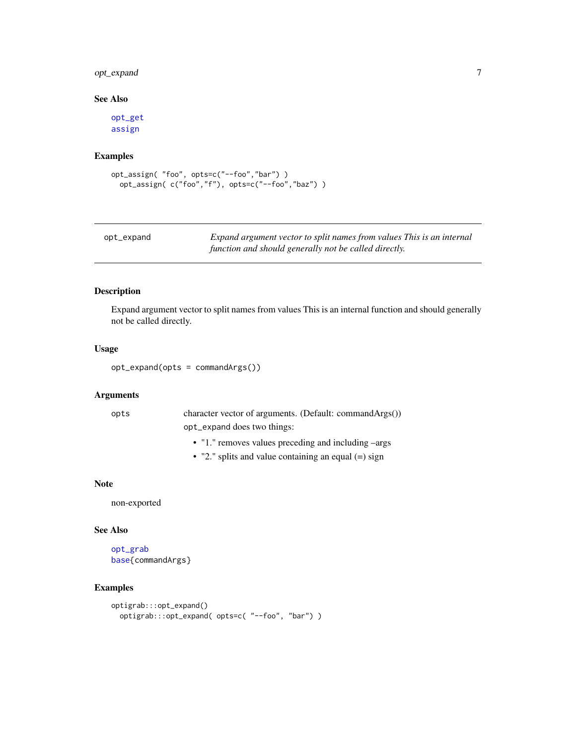# <span id="page-6-0"></span>opt\_expand 7

# See Also

[opt\\_get](#page-7-1) [assign](#page-0-0)

#### Examples

```
opt_assign( "foo", opts=c("--foo","bar") )
  opt_assign( c("foo","f"), opts=c("--foo","baz") )
```

| opt_expand | Expand argument vector to split names from values This is an internal |
|------------|-----------------------------------------------------------------------|
|            | function and should generally not be called directly.                 |

# Description

Expand argument vector to split names from values This is an internal function and should generally not be called directly.

# Usage

```
opt_expand(opts = commandArgs())
```
#### Arguments

| opts | character vector of arguments. (Default: commandArgs()) |
|------|---------------------------------------------------------|
|      | opt_expand does two things:                             |

- "1." removes values preceding and including –args
- "2." splits and value containing an equal (=) sign

#### Note

non-exported

#### See Also

[opt\\_grab](#page-7-2) [base{](#page-0-0)commandArgs}

```
optigrab:::opt_expand()
  optigrab:::opt_expand( opts=c( "--foo", "bar") )
```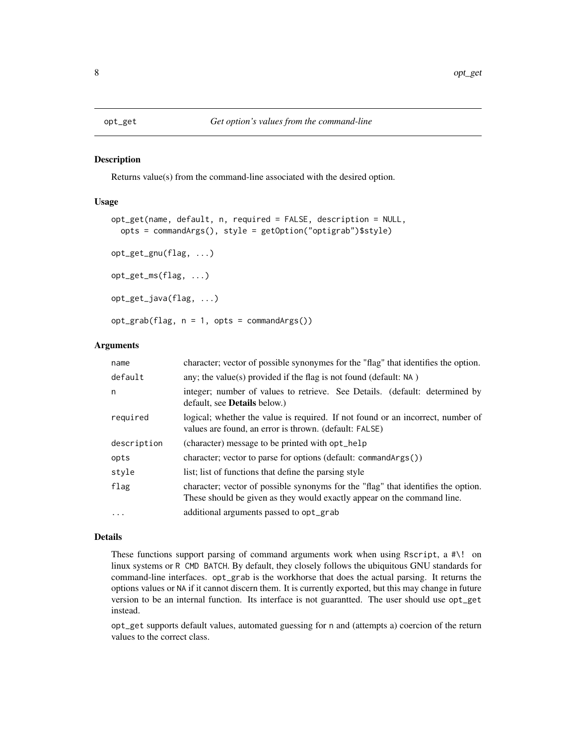<span id="page-7-1"></span><span id="page-7-0"></span>

#### <span id="page-7-2"></span>Description

Returns value(s) from the command-line associated with the desired option.

# Usage

```
opt_get(name, default, n, required = FALSE, description = NULL,
  opts = commandArgs(), style = getOption("optigrab")$style)
opt_get_gnu(flag, ...)
opt_get_ms(flag, ...)
opt_get_java(flag, ...)
opt_grab(flag, n = 1, opts = commandArgs())
```
#### Arguments

| name        | character; vector of possible synonymes for the "flag" that identifies the option.                                                                           |
|-------------|--------------------------------------------------------------------------------------------------------------------------------------------------------------|
| default     | any; the value(s) provided if the flag is not found (default: $NA$ )                                                                                         |
| n           | integer; number of values to retrieve. See Details. (default: determined by<br>default, see <b>Details</b> below.)                                           |
| required    | logical; whether the value is required. If not found or an incorrect, number of<br>values are found, an error is thrown. (default: FALSE)                    |
| description | (character) message to be printed with opt_help                                                                                                              |
| opts        | character; vector to parse for options (default: commandArgs())                                                                                              |
| style       | list; list of functions that define the parsing style                                                                                                        |
| flag        | character; vector of possible synonyms for the "flag" that identifies the option.<br>These should be given as they would exactly appear on the command line. |
| $\cdots$    | additional arguments passed to opt_grab                                                                                                                      |

#### Details

These functions support parsing of command arguments work when using Rscript, a  $\# \$ ! on linux systems or R CMD BATCH. By default, they closely follows the ubiquitous GNU standards for command-line interfaces. opt\_grab is the workhorse that does the actual parsing. It returns the options values or NA if it cannot discern them. It is currently exported, but this may change in future version to be an internal function. Its interface is not guarantted. The user should use opt\_get instead.

opt\_get supports default values, automated guessing for n and (attempts a) coercion of the return values to the correct class.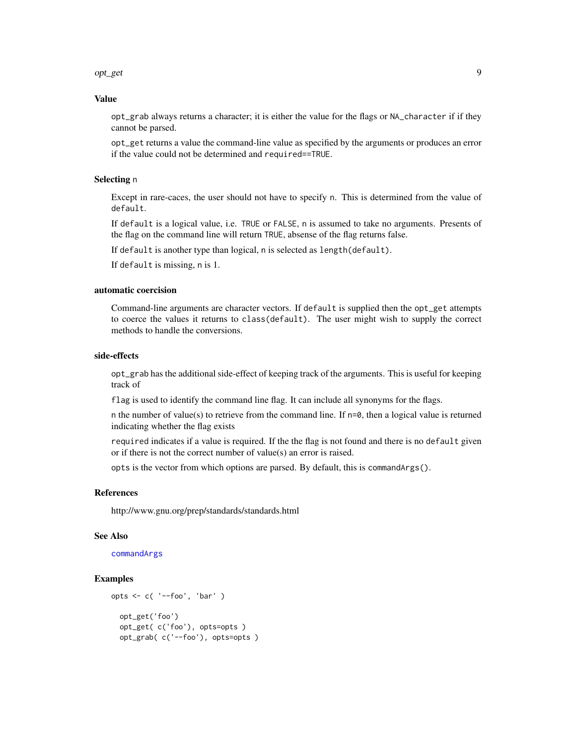#### <span id="page-8-0"></span>opt\_get 99.9 million and the contract of the contract of the contract of the contract of the contract of the contract of the contract of the contract of the contract of the contract of the contract of the contract of the c

#### Value

opt\_grab always returns a character; it is either the value for the flags or NA\_character if if they cannot be parsed.

opt\_get returns a value the command-line value as specified by the arguments or produces an error if the value could not be determined and required==TRUE.

# Selecting n

Except in rare-caces, the user should not have to specify n. This is determined from the value of default.

If default is a logical value, i.e. TRUE or FALSE, n is assumed to take no arguments. Presents of the flag on the command line will return TRUE, absense of the flag returns false.

If default is another type than logical, n is selected as length(default).

If default is missing, n is 1.

#### automatic coercision

Command-line arguments are character vectors. If default is supplied then the opt\_get attempts to coerce the values it returns to class(default). The user might wish to supply the correct methods to handle the conversions.

# side-effects

opt\_grab has the additional side-effect of keeping track of the arguments. This is useful for keeping track of

flag is used to identify the command line flag. It can include all synonyms for the flags.

n the number of value(s) to retrieve from the command line. If  $n=0$ , then a logical value is returned indicating whether the flag exists

required indicates if a value is required. If the the flag is not found and there is no default given or if there is not the correct number of value(s) an error is raised.

opts is the vector from which options are parsed. By default, this is commandArgs().

#### References

http://www.gnu.org/prep/standards/standards.html

#### See Also

[commandArgs](#page-0-0)

```
opts <- c( '--foo', 'bar' )
  opt_get('foo')
  opt_get( c('foo'), opts=opts )
  opt_grab( c('--foo'), opts=opts )
```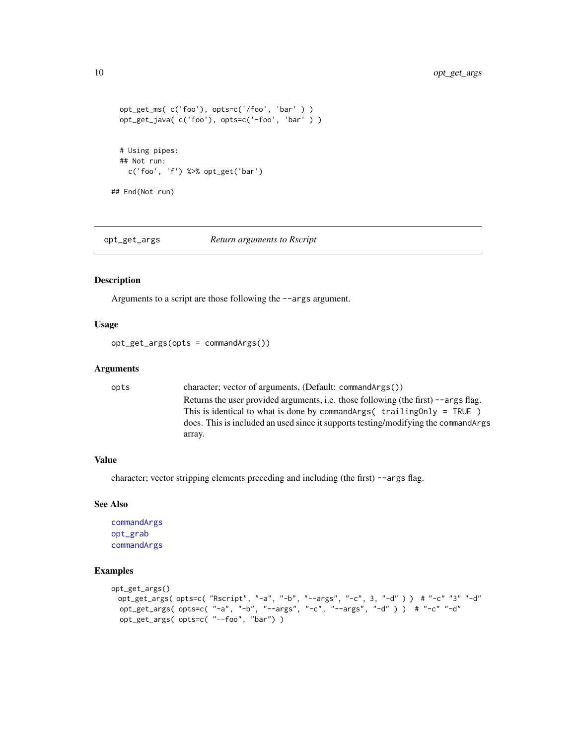```
opt_get_ms( c('foo'), opts=c('/foo', 'bar' ) )
 opt_get_java( c('foo'), opts=c('-foo', 'bar' ) )
 # Using pipes:
 ## Not run:
   c('foo', 'f') %>% opt_get('bar')
## End(Not run)
```
opt\_get\_args *Return arguments to Rscript*

#### Description

Arguments to a script are those following the --args argument.

#### Usage

opt\_get\_args(opts = commandArgs())

#### Arguments

```
opts character; vector of arguments, (Default: commandArgs())
                  Returns the user provided arguments, i.e. those following (the first) --args flag.
                  This is identical to what is done by commandArgs( trailingOnly = TRUE )
                  does. This is included an used since it supports testing/modifying the commandArgs
                  array.
```
#### Value

character; vector stripping elements preceding and including (the first) --args flag.

#### See Also

```
commandArgs
opt_grab
commandArgs
```

```
opt_get_args()
 opt_get_args( opts=c( "Rscript", "-a", "-b", "--args", "-c", 3, "-d" ) ) # "-c" "3" "-d"
 opt_get_args( opts=c( "-a", "-b", "--args", "-c", "--args", "-d" ) ) # "-c" "-d"
 opt_get_args( opts=c( "--foo", "bar") )
```
<span id="page-9-0"></span>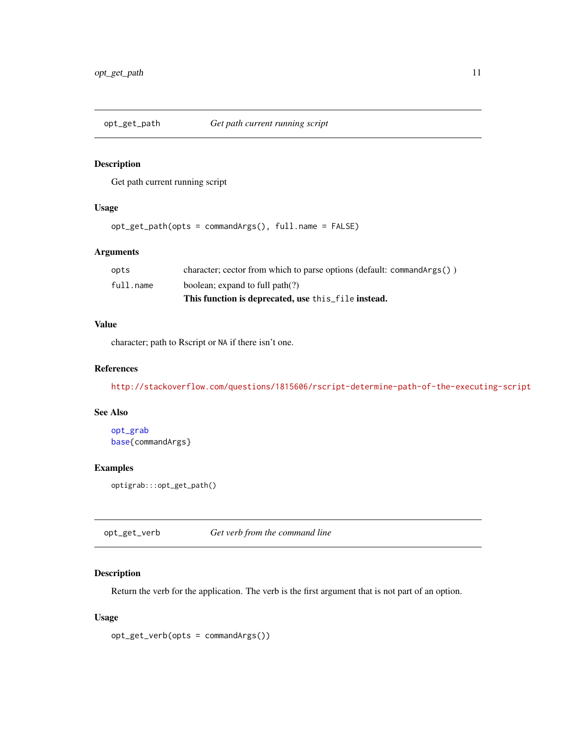<span id="page-10-0"></span>

# Description

Get path current running script

# Usage

```
opt_get_path(opts = commandArgs(), full.name = FALSE)
```
# Arguments

|           | This function is deprecated, use this file instead.                         |
|-----------|-----------------------------------------------------------------------------|
| full.name | boolean; expand to full path(?)                                             |
| opts      | character; cector from which to parse options (default: command $Arg(s()$ ) |

# Value

character; path to Rscript or NA if there isn't one.

# References

<http://stackoverflow.com/questions/1815606/rscript-determine-path-of-the-executing-script>

#### See Also

[opt\\_grab](#page-7-2) [base{](#page-0-0)commandArgs}

#### Examples

optigrab:::opt\_get\_path()

opt\_get\_verb *Get verb from the command line*

# Description

Return the verb for the application. The verb is the first argument that is not part of an option.

# Usage

```
opt_get_verb(opts = commandArgs())
```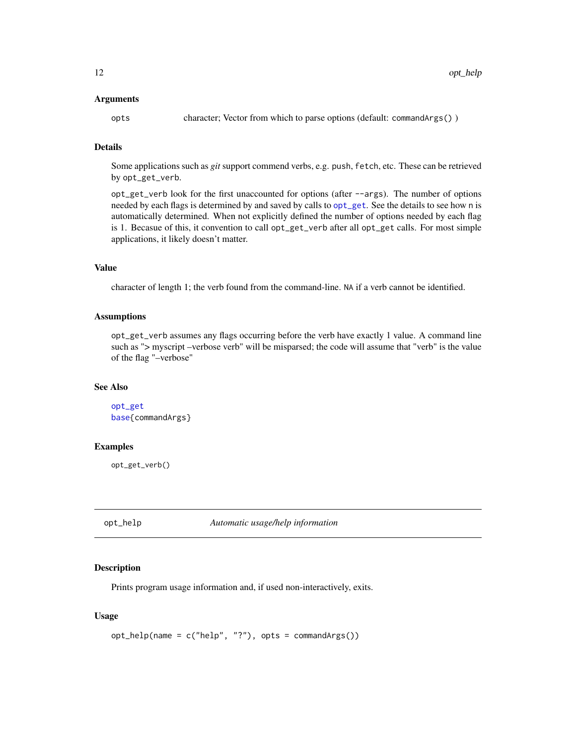#### <span id="page-11-0"></span>Arguments

opts character; Vector from which to parse options (default: commandArgs() )

# Details

Some applications such as *git* support commend verbs, e.g. push, fetch, etc. These can be retrieved by opt\_get\_verb.

opt\_get\_verb look for the first unaccounted for options (after --args). The number of options needed by each flags is determined by and saved by calls to [opt\\_get](#page-7-1). See the details to see how n is automatically determined. When not explicitly defined the number of options needed by each flag is 1. Becasue of this, it convention to call opt\_get\_verb after all opt\_get calls. For most simple applications, it likely doesn't matter.

#### Value

character of length 1; the verb found from the command-line. NA if a verb cannot be identified.

#### Assumptions

opt\_get\_verb assumes any flags occurring before the verb have exactly 1 value. A command line such as "> myscript –verbose verb" will be misparsed; the code will assume that "verb" is the value of the flag "–verbose"

#### See Also

```
opt_get
base{commandArgs}
```
#### Examples

opt\_get\_verb()

opt\_help *Automatic usage/help information*

# Description

Prints program usage information and, if used non-interactively, exits.

#### Usage

```
opt_help(name = c("help", "?"), opts = commandArgs())
```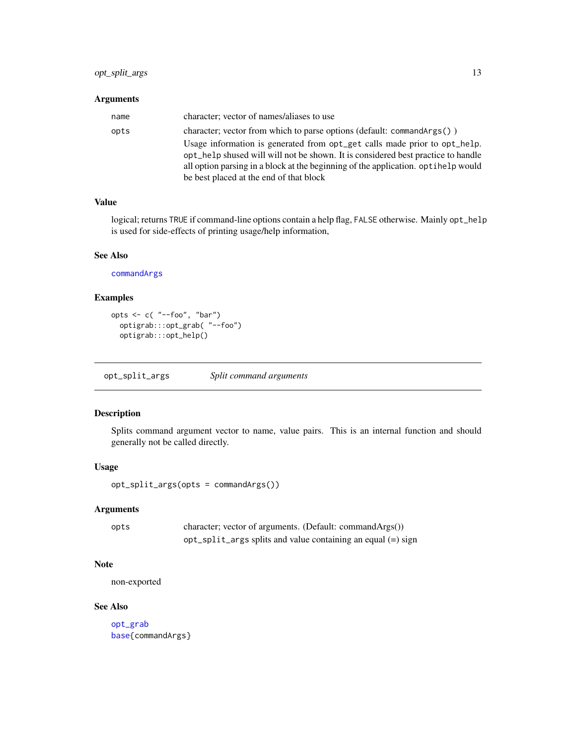#### <span id="page-12-0"></span>Arguments

| name | character; vector of names/aliases to use                                         |
|------|-----------------------------------------------------------------------------------|
| opts | character; vector from which to parse options (default: commandArgs())            |
|      | Usage information is generated from opt_get calls made prior to opt_help.         |
|      | opt_help shused will will not be shown. It is considered best practice to handle  |
|      | all option parsing in a block at the beginning of the application. optihelp would |
|      | be best placed at the end of that block                                           |

# Value

logical; returns TRUE if command-line options contain a help flag, FALSE otherwise. Mainly opt\_help is used for side-effects of printing usage/help information,

#### See Also

[commandArgs](#page-0-0)

# Examples

```
opts <- c( "--foo", "bar")
  optigrab:::opt_grab( "--foo")
  optigrab:::opt_help()
```
opt\_split\_args *Split command arguments*

# Description

Splits command argument vector to name, value pairs. This is an internal function and should generally not be called directly.

#### Usage

opt\_split\_args(opts = commandArgs())

# Arguments

| opts | character; vector of arguments. (Default: commandArgs())           |
|------|--------------------------------------------------------------------|
|      | $opt\_split\_args$ splits and value containing an equal $(=)$ sign |

# Note

non-exported

#### See Also

[opt\\_grab](#page-7-2) [base{](#page-0-0)commandArgs}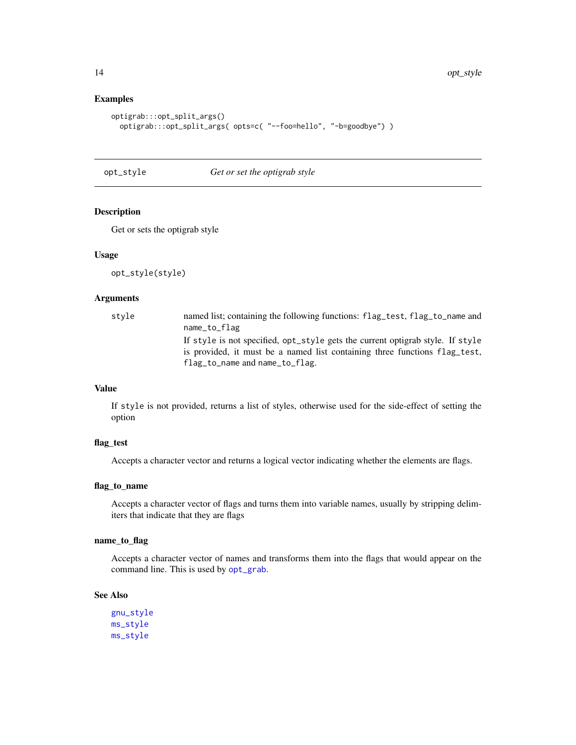# Examples

```
optigrab:::opt_split_args()
  optigrab:::opt_split_args( opts=c( "--foo=hello", "-b=goodbye") )
```
opt\_style *Get or set the optigrab style*

# Description

Get or sets the optigrab style

#### Usage

opt\_style(style)

#### Arguments

| style | named list; containing the following functions: flag_test, flag_to_name and<br>name_to_flag                                                                                                    |
|-------|------------------------------------------------------------------------------------------------------------------------------------------------------------------------------------------------|
|       | If style is not specified, opt_style gets the current optigrab style. If style<br>is provided, it must be a named list containing three functions flag test,<br>flag_to_name and name_to_flag. |

# Value

If style is not provided, returns a list of styles, otherwise used for the side-effect of setting the option

# flag\_test

Accepts a character vector and returns a logical vector indicating whether the elements are flags.

# flag\_to\_name

Accepts a character vector of flags and turns them into variable names, usually by stripping delimiters that indicate that they are flags

#### name\_to\_flag

Accepts a character vector of names and transforms them into the flags that would appear on the command line. This is used by [opt\\_grab](#page-7-2).

# See Also

[gnu\\_style](#page-1-1) [ms\\_style](#page-3-2) [ms\\_style](#page-3-2)

<span id="page-13-0"></span>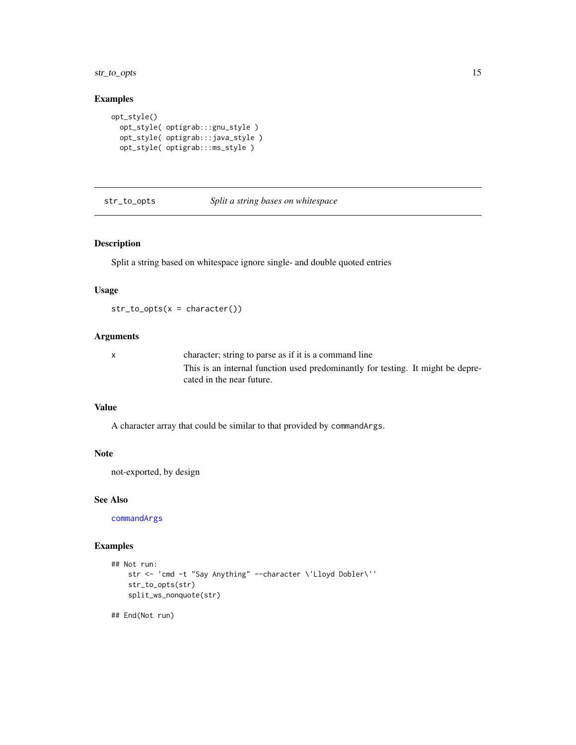<span id="page-14-0"></span>str\_to\_opts 15

#### Examples

```
opt_style()
 opt_style( optigrab:::gnu_style )
  opt_style( optigrab:::java_style )
  opt_style( optigrab:::ms_style )
```
# str\_to\_opts *Split a string bases on whitespace*

# Description

Split a string based on whitespace ignore single- and double quoted entries

# Usage

 $str_to_opts(x = character())$ 

# Arguments

| character; string to parse as if it is a command line                           |
|---------------------------------------------------------------------------------|
| This is an internal function used predominantly for testing. It might be depre- |
| cated in the near future.                                                       |

#### Value

A character array that could be similar to that provided by commandArgs.

#### Note

not-exported, by design

#### See Also

[commandArgs](#page-0-0)

# Examples

```
## Not run:
   str <- 'cmd -t "Say Anything" --character \'Lloyd Dobler\''
   str_to_opts(str)
   split_ws_nonquote(str)
```
## End(Not run)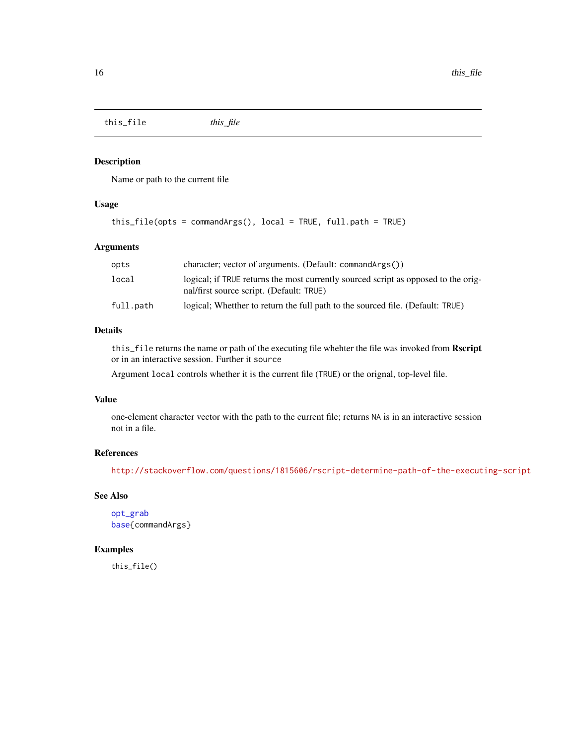<span id="page-15-0"></span>this\_file *this\_file*

# Description

Name or path to the current file

# Usage

```
this_file(opts = commandArgs(), local = TRUE, full.path = TRUE)
```
# Arguments

| opts      | character; vector of arguments. (Default: command $Arg(s()$ )                                                                  |
|-----------|--------------------------------------------------------------------------------------------------------------------------------|
| local     | logical; if TRUE returns the most currently sourced script as opposed to the orig-<br>nal/first source script. (Default: TRUE) |
| full.path | logical; Whetther to return the full path to the sourced file. (Default: TRUE)                                                 |

# Details

this\_file returns the name or path of the executing file whehter the file was invoked from Rscript or in an interactive session. Further it source

Argument local controls whether it is the current file (TRUE) or the orignal, top-level file.

# Value

one-element character vector with the path to the current file; returns NA is in an interactive session not in a file.

# References

<http://stackoverflow.com/questions/1815606/rscript-determine-path-of-the-executing-script>

### See Also

```
opt_grab
base{commandArgs}
```
#### Examples

this\_file()